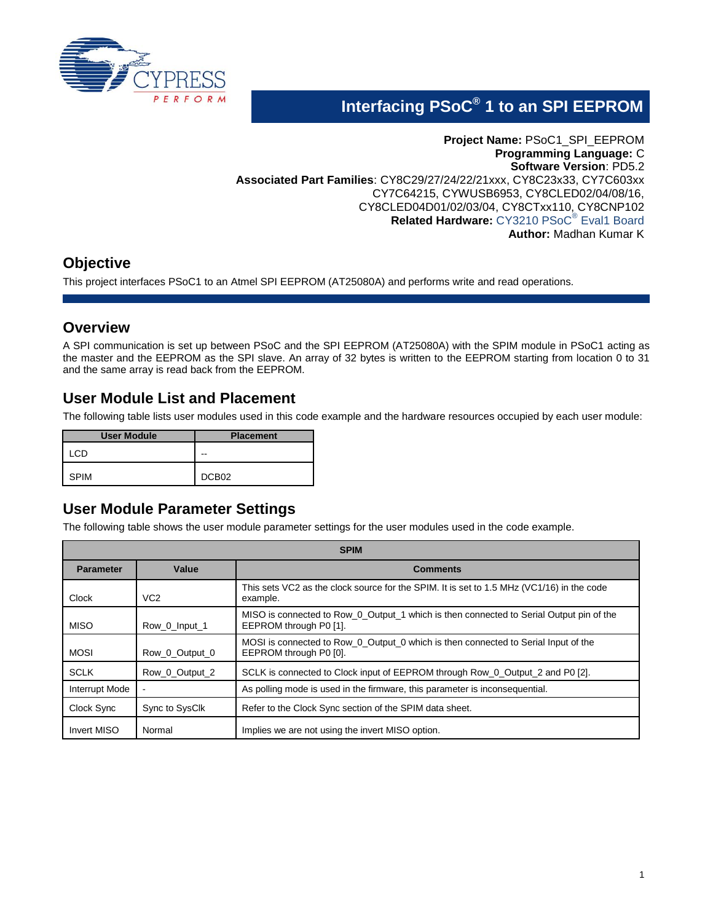

# **Interfacing PSoC® 1 to an SPI EEPROM**

**Project Name:** PSoC1\_SPI\_EEPROM **Programming Language:** C **Software Version**: PD5.2 **Associated Part Families**: CY8C29/27/24/22/21xxx, CY8C23x33, CY7C603xx CY7C64215, CYWUSB6953, CY8CLED02/04/08/16, CY8CLED04D01/02/03/04, CY8CTxx110, CY8CNP102 **Related Hardware:** [CY3210 PSoC](http://www.cypress.com/?rID=2541)® Eval1 Board **Author:** Madhan Kumar K

# **Objective**

This project interfaces PSoC1 to an Atmel SPI EEPROM (AT25080A) and performs write and read operations.

### **Overview**

A SPI communication is set up between PSoC and the SPI EEPROM (AT25080A) with the SPIM module in PSoC1 acting as the master and the EEPROM as the SPI slave. An array of 32 bytes is written to the EEPROM starting from location 0 to 31 and the same array is read back from the EEPROM.

### **User Module List and Placement**

The following table lists user modules used in this code example and the hardware resources occupied by each user module:

| <b>User Module</b> | <b>Placement</b>  |
|--------------------|-------------------|
| .CD                | --                |
| <b>SPIM</b>        | DCB <sub>02</sub> |

### **User Module Parameter Settings**

The following table shows the user module parameter settings for the user modules used in the code example.

| <b>SPIM</b>           |                 |                                                                                                                   |  |  |
|-----------------------|-----------------|-------------------------------------------------------------------------------------------------------------------|--|--|
| <b>Parameter</b>      | Value           | <b>Comments</b>                                                                                                   |  |  |
| Clock                 | VC <sub>2</sub> | This sets VC2 as the clock source for the SPIM. It is set to 1.5 MHz (VC1/16) in the code<br>example.             |  |  |
| <b>MISO</b>           | Row_0_Input_1   | MISO is connected to Row_0_Output_1 which is then connected to Serial Output pin of the<br>EEPROM through P0 [1]. |  |  |
| <b>MOSI</b>           | Row 0 Output 0  | MOSI is connected to Row 0 Output 0 which is then connected to Serial Input of the<br>EEPROM through P0 [0].      |  |  |
| <b>SCLK</b>           | Row 0 Output 2  | SCLK is connected to Clock input of EEPROM through Row_0_Output_2 and P0 [2].                                     |  |  |
| <b>Interrupt Mode</b> |                 | As polling mode is used in the firmware, this parameter is inconsequential.                                       |  |  |
| Clock Sync            | Sync to SysClk  | Refer to the Clock Sync section of the SPIM data sheet.                                                           |  |  |
| <b>Invert MISO</b>    | Normal          | Implies we are not using the invert MISO option.                                                                  |  |  |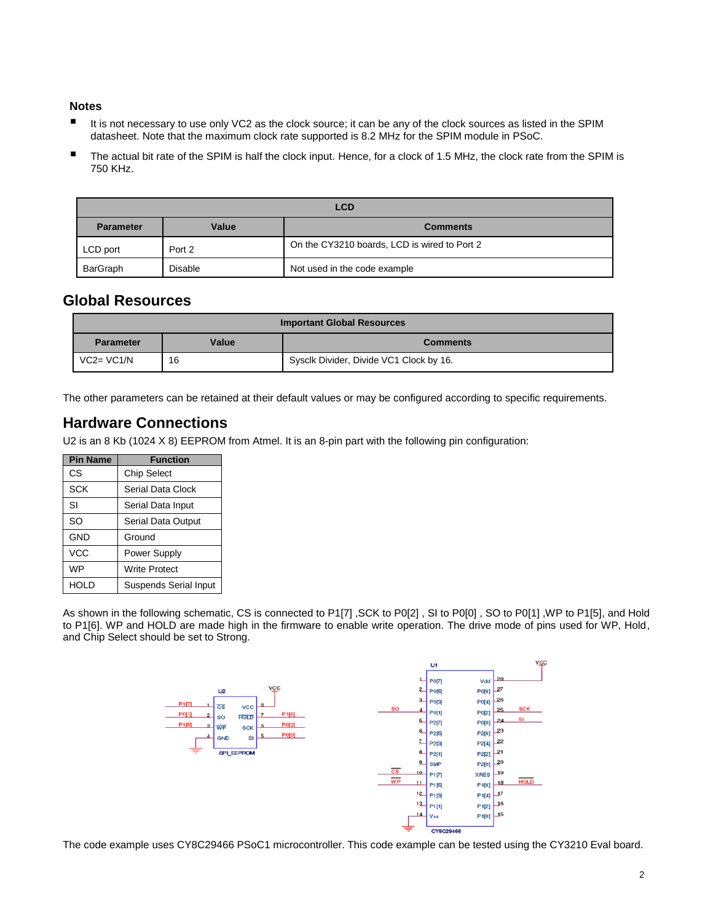#### **Notes**

- It is not necessary to use only VC2 as the clock source; it can be any of the clock sources as listed in the SPIM datasheet. Note that the maximum clock rate supported is 8.2 MHz for the SPIM module in PSoC.
- The actual bit rate of the SPIM is half the clock input. Hence, for a clock of 1.5 MHz, the clock rate from the SPIM is 750 KHz.

| <b>LCD</b>       |         |                                              |
|------------------|---------|----------------------------------------------|
| <b>Parameter</b> | Value   | <b>Comments</b>                              |
| LCD port         | Port 2  | On the CY3210 boards, LCD is wired to Port 2 |
| BarGraph         | Disable | Not used in the code example                 |

### **Global Resources**

| <b>Important Global Resources</b> |       |                                         |  |
|-----------------------------------|-------|-----------------------------------------|--|
| <b>Parameter</b>                  | Value | <b>Comments</b>                         |  |
| $VC2=VC1/N$                       | 16    | Sysclk Divider, Divide VC1 Clock by 16. |  |

The other parameters can be retained at their default values or may be configured according to specific requirements.

### <span id="page-1-0"></span>**Hardware Connections**

U2 is an 8 Kb (1024 X 8) EEPROM from Atmel. It is an 8-pin part with the following pin configuration:

| <b>Pin Name</b> | <b>Function</b>       |
|-----------------|-----------------------|
| СS              | <b>Chip Select</b>    |
| SCK             | Serial Data Clock     |
| SI              | Serial Data Input     |
| SO              | Serial Data Output    |
| <b>GND</b>      | Ground                |
| <b>VCC</b>      | Power Supply          |
| <b>WP</b>       | <b>Write Protect</b>  |
| HOLD            | Suspends Serial Input |

As shown in the following schematic, CS is connected to P1[7] ,SCK to P0[2] , SI to P0[0] , SO to P0[1] ,WP to P1[5], and Hold to P1[6]. WP and HOLD are made high in the firmware to enable write operation. The drive mode of pins used for WP, Hold, and Chip Select should be set to Strong.



The code example uses CY8C29466 PSoC1 microcontroller. This code example can be tested using the CY3210 Eval board.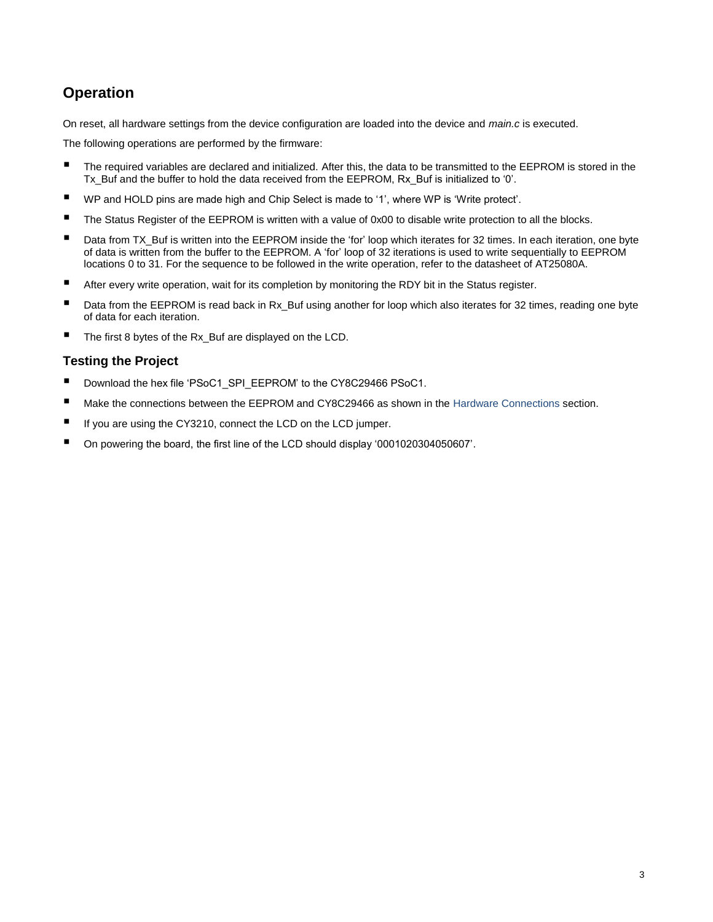# **Operation**

On reset, all hardware settings from the device configuration are loaded into the device and *main.c* is executed.

The following operations are performed by the firmware:

- The required variables are declared and initialized. After this, the data to be transmitted to the EEPROM is stored in the Tx\_Buf and the buffer to hold the data received from the EEPROM, Rx\_Buf is initialized to '0'.
- WP and HOLD pins are made high and Chip Select is made to '1', where WP is 'Write protect'.
- The Status Register of the EEPROM is written with a value of 0x00 to disable write protection to all the blocks.
- Data from TX\_Buf is written into the EEPROM inside the 'for' loop which iterates for 32 times. In each iteration, one byte of data is written from the buffer to the EEPROM. A 'for' loop of 32 iterations is used to write sequentially to EEPROM locations 0 to 31. For the sequence to be followed in the write operation, refer to the datasheet of AT25080A.
- After every write operation, wait for its completion by monitoring the RDY bit in the Status register.
- Data from the EEPROM is read back in Rx\_Buf using another for loop which also iterates for 32 times, reading one byte of data for each iteration.
- The first 8 bytes of the Rx\_Buf are displayed on the LCD.

#### **Testing the Project**

- Download the hex file 'PSoC1\_SPI\_EEPROM' to the CY8C29466 PSoC1.
- Make the connections between the EEPROM and CY8C29466 as shown in the [Hardware Connections](#page-1-0) section.
- If you are using the CY3210, connect the LCD on the LCD jumper.
- On powering the board, the first line of the LCD should display '0001020304050607'.